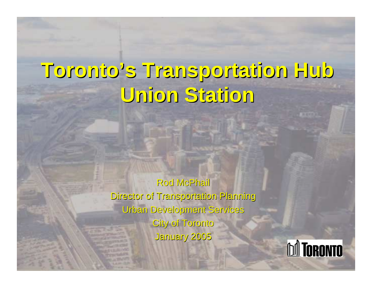## **Toronto's Transportation Hub Toronto's Transportation Hub Union Station Union Station**

Rod McPhail Director of Transportation Planning Urban Development Services Urban Development Services City of Toronto January 2005

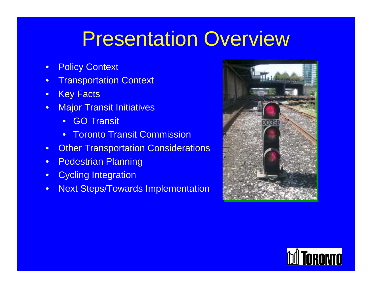#### Presentation Overview

- •Policy Context
- •Transportation Context
- •Key Facts
- •**Major Transit Initiatives** 
	- •GO Transit
	- •Toronto Transit Commission
- •Other Transportation Considerations
- •Pedestrian Planning
- •Cycling Integration
- •Next Steps/Towards Implementation



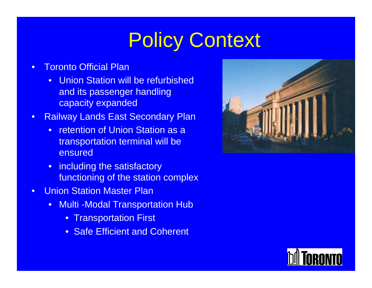# Policy Context

- • Toronto Official Plan
	- $\bullet$  Union Station will be refurbished and its passenger handling capacity expanded
- • Railway Lands East Secondary Plan
	- $\bullet$  retention of Union Station as a transportation terminal will be ensured
	- including the satisfactory functioning of the station complex
- • Union Station Master Plan
	- $\bullet$ **Multi -Modal Transportation Hub** 
		- Transportation First
		- Safe Efficient and Coherent



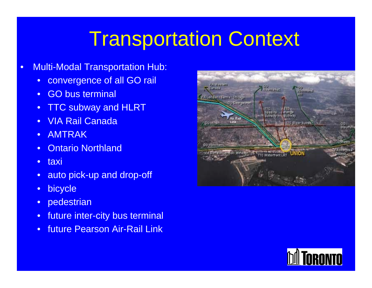### Transportation Context

- • Multi-Modal Transportation Hub:
	- $\bullet$ convergence of all GO rail
	- •GO bus terminal
	- •TTC subway and HLRT
	- •VIA Rail Canada
	- •AMTRAK
	- •Ontario Northland
	- •taxi
	- •auto pick-up and drop-off
	- •bicycle
	- $\bullet$ pedestrian
	- •future inter-city bus terminal
	- •future Pearson Air-Rail Link



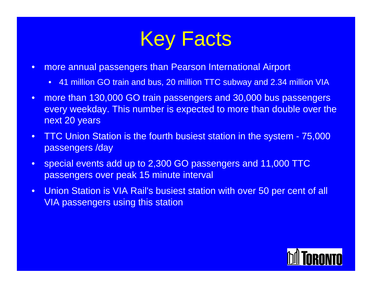## Key Facts

- $\bullet$  more annual passengers than Pearson International Airport
	- 41 million GO train and bus, 20 million TTC subway and 2.34 million VIA
- • more than 130,000 GO train passengers and 30,000 bus passengers every weekday. This number is expected to more than double over the next 20 years
- $\bullet$  TTC Union Station is the fourth busiest station in the system - 75,000 passengers /day
- $\bullet$  special events add up to 2,300 GO passengers and 11,000 TTC passengers over peak 15 minute interval
- • Union Station is VIA Rail's busiest station with over 50 per cent of all VIA passengers using this station

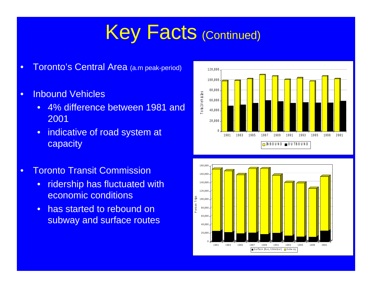### Key Facts (Continued)

- •Toronto's Central Area (a.m peak-period)
- • Inbound Vehicles
	- • 4% difference between 1981 and 2001
	- • indicative of road system at capacity
- • Toronto Transit Commission
	- • ridership has fluctuated with economic conditions
	- • has started to rebound on subway and surface routes



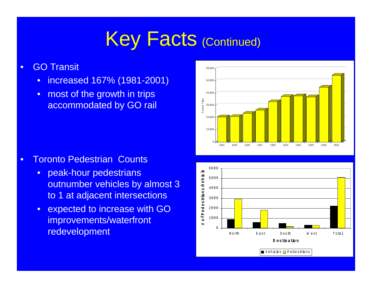## Key Facts (Continued)

- • GO Transit
	- •increased 167% (1981-2001)
	- $\bullet$  most of the growth in trips accommodated by GO rail

- $\bullet$  Toronto Pedestrian Counts
	- $\bullet$  peak-hour pedestrians outnumber vehicles by almost 3 to 1 at adjacent intersections
	- • expected to increase with GO improvements/waterfront redevelopment



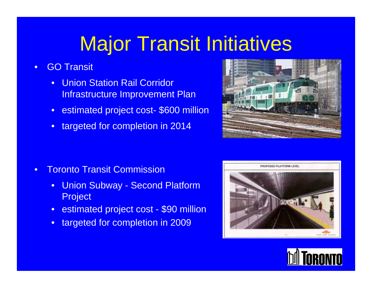## Major Transit Initiatives

- • GO Transit
	- • Union Station Rail Corridor Infrastructure Improvement Plan
	- $\bullet$ estimated project cost- \$600 million
	- •targeted for completion in 2014

- • Toronto Transit Commission
	- $\bullet$  Union Subway - Second Platform Project
	- $\bullet$ estimated project cost - \$90 million
	- •targeted for completion in 2009





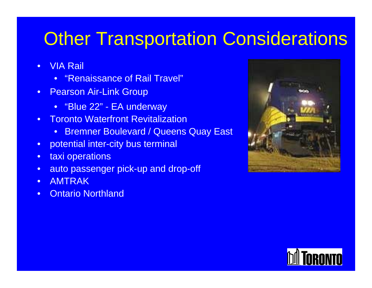#### **Other Transportation Considerations**

- • VIA Rail
	- •"Renaissance of Rail Travel"
- $\bullet$ **Pearson Air-Link Group** 
	- "Blue 22" EA underway
- • Toronto Waterfront Revitalization
	- •Bremner Boulevard / Queens Quay East
- •potential inter-city bus terminal
- •taxi operations
- •auto passenger pick-up and drop-off
- •AMTRAK
- $\bullet$ Ontario Northland



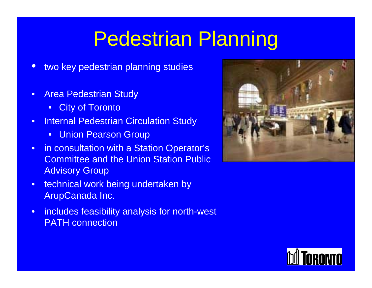## Pedestrian Planning

- $\bullet$ two key pedestrian planning studies
- • Area Pedestrian Study
	- $\bullet$ **City of Toronto**
- • Internal Pedestrian Circulation Study
	- Union Pearson Group
- • in consultation with a Station Operator's Committee and the Union Station Public Advisory Group
- $\bullet$  technical work being undertaken by ArupCanada Inc.
- • includes feasibility analysis for north-west PATH connection



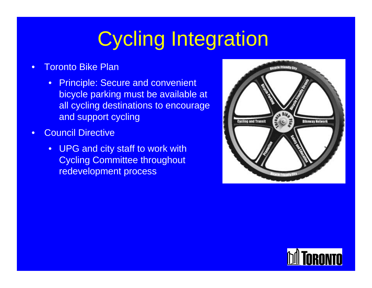## Cycling Integration

- • Toronto Bike Plan
	- Principle: Secure and convenient bicycle parking must be available at all cycling destinations to encourage and support cycling
- • Council Directive
	- •UPG and city staff to work with Cycling Committee throughout redevelopment process



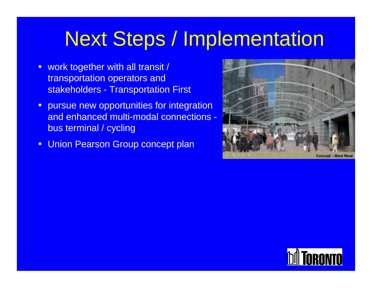### Next Steps / Implementation

- $\bullet$  work together with all transit / transportation operators and stakeholders - Transportation First
- • pursue new opportunities for integration and enhanced multi-modal connections bus terminal / cycling
- •Union Pearson Group concept plan



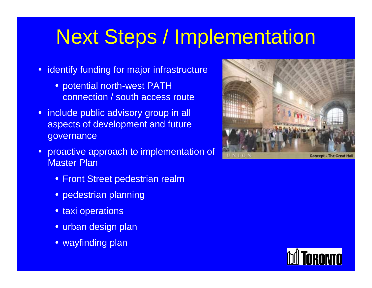## Next Steps / Implementation

- • identify funding for major infrastructure
	- potential north-west PATH connection / south access route
- include public advisory group in all aspects of development and future governance
- $\bullet$  proactive approach to implementation of Master Plan
	- Front Street pedestrian realm
	- pedestrian planning
	- taxi operations
	- urban design plan
	- wayfinding plan